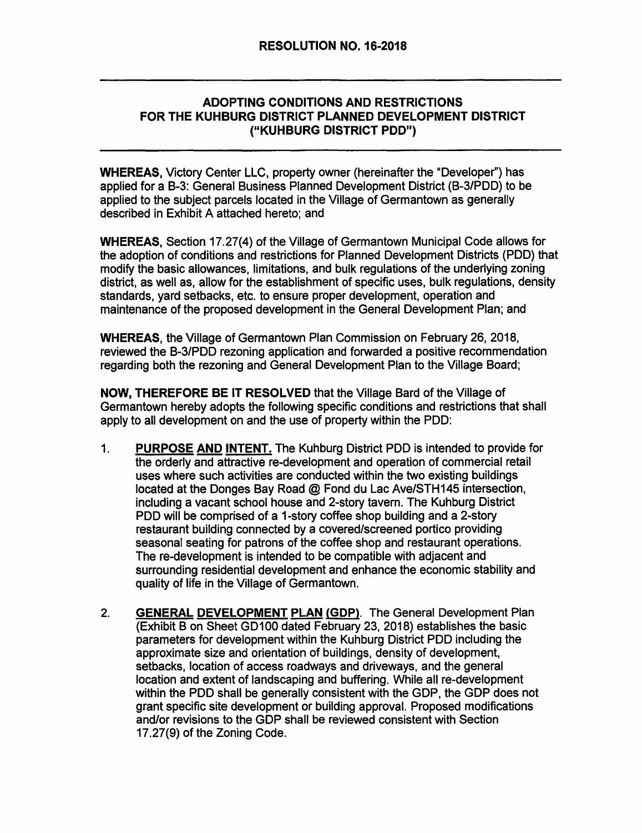#### ADOPTING CONDITIONS AND RESTRICTIONS FOR THE KUHBURG DISTRICT PLANNED DEVELOPMENT DISTRICT ("KUHBURG DISTRICT POD")

WHEREAS, Victory Center LLC, property owner (hereinafter the "Developer'') has applied for a B-3: General Business Planned Development District (B-3/PDD) to be applied to the subject parcels located in the Village of Germantown as generally described in Exhibit A attached hereto; and

WHEREAS, Section 17.27(4) of the Village of Germantown Municipal Code allows for the adoption of conditions and restrictions for Planned Development Districts (POD) that modify the basic allowances, limitations, and bulk regulations of the underlying zoning district, as well as, allow for the establishment of specific uses, bulk regulations, density standards, yard setbacks, etc. to ensure proper development, operation and maintenance of the proposed development in the General Development Plan; and

WHEREAS, the Village of Germantown Plan Commission on February 26, 2018, reviewed the B-3/PDD rezoning application and forwarded a positive recommendation regarding both the rezoning and General Development Plan to the Village Board;

NOW, THEREFORE BE IT RESOLVED that the Village Bard of the Village of Germantown hereby adopts the following specific conditions and restrictions that shall apply to all development on and the use of property within the POD:

- 1. PURPOSE AND INTENT. The Kuhburg District PDD is intended to provide for the orderly and attractive re-development and operation of commercial retail uses where such activities are conducted within the two existing buildings located at the Donges Bay Road @ Fond du Lac Ave/STH145 intersection, including a vacant school house and 2-story tavern. The Kuhburg District POD will be comprised of a 1-story coffee shop building and a 2-story restaurant building connected by a covered/screened portico providing seasonal seating for patrons of the coffee shop and restaurant operations. The re-development is intended to be compatible with adjacent and surrounding residential development and enhance the economic stability and quality of life in the Village of Germantown.
- 2. GENERAL DEVELOPMENT PLAN (GDP). The General Development Plan {Exhibit B on Sheet GD100 dated February 23, 2018) establishes the basic parameters for development within the Kuhburg District POD including the approximate size and orientation of buildings, density of development, setbacks, location of access roadways and driveways, and the general location and extent of landscaping and buffering. While all re-development within the POD shall be generally consistent with the GDP, the GDP does not grant specific site development or building approval. Proposed modifications and/or revisions to the GDP shall be reviewed consistent with Section 17.27(9) of the Zoning Code.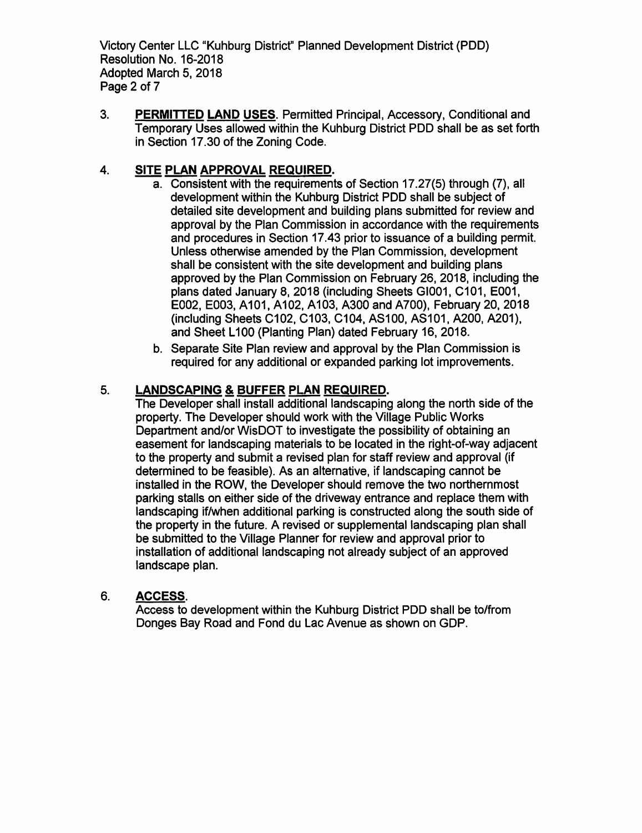Victory Center LLC "Kuhburg District" Planned Development District (PDD) Resolution No. 16-2018 Adopted March 5, 2018 Page 2 of 7

3. PERMITTED LAND USES. Permitted Principal, Accessory, Conditional and Temporary Uses allowed within the Kuhburg District PDD shall be as set forth in Section 17 .30 of the Zoning Code.

# 4. SITE PLAN APPROVAL REQUIRED.

- a. Consistent with the requirements of Section 17.27(5) through (7), all development within the Kuhburg District PDD shall be subject of detailed site development and building plans submitted for review and approval by the Plan Commission in accordance with the requirements and procedures in Section 17 .43 prior to issuance of a building permit. Unless otherwise amended by the Plan Commission, development shall be consistent with the site development and building plans approved by the Plan Commission on February 26, 2018, including the plans dated January 8, 2018 (including Sheets GI001, C101, E001, E002, E003, A101, A102, A103, A300 and A700), February 20, 2018 (including Sheets C102, C103, C104, AS100, AS101, A200, A201), and Sheet L100 (Planting Plan) dated February 16, 2018.
- b. Separate Site Plan review and approval by the Plan Commission is required for any additional or expanded parking lot improvements.

# 5. LANDSCAPING & BUFFER PLAN REQUIRED.

The Developer shall install additional landscaping along the north side of the property. The Developer should work with the Village Public Works Department and/or WisDOT to investigate the possibility of obtaining an easement for landscaping materials to be located in the right-of-way adjacent to the property and submit a revised plan for staff review and approval (if determined to be feasible). As an alternative, if landscaping cannot be installed in the ROW, the Developer should remove the two northernmost parking stalls on either side of the driveway entrance and replace them with landscaping if/when additional parking is constructed along the south side of the property in the future. A revised or supplemental landscaping plan shall be submitted to the Village Planner for review and approval prior to installation of additional landscaping not already subject of an approved landscape plan.

## 6. ACCESS.

Access to development within the Kuhburg District POD shall be to/from Donges Bay Road and Fond du Lac Avenue as shown on GDP.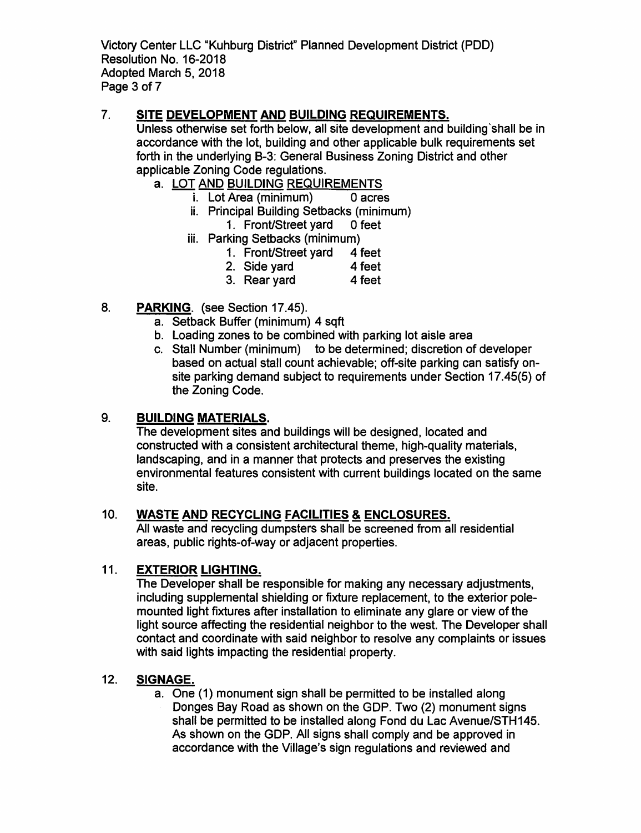Victory Center LLC "Kuhburg District" Planned Development District (PDD) Resolution No. 16-2018 Adopted March 5, 2018 Page 3 of 7

## 7. SITE DEVELOPMENT AND BUILDING REQUIREMENTS.

Unless otherwise set forth below, all site development and building 'shall be in accordance with the lot, building and other applicable bulk requirements set forth in the underlying B-3: General Business Zoning District and other applicable Zoning Code regulations.

- a. LOT AND BUILDING REQUIREMENTS
	- i. Lot Area (minimum) O acres
	- ii. Principal Building Setbacks (minimum)
		- 1. Front/Street yard O feet
	- iii. Parking Setbacks (minimum)
		- 1. Front/Street yard 4 feet
		- 2. Side vard 4 feet
		- 3. Rear yard 4 feet
- 8. PARKING. (see Section 17.45).
	- a. Setback Buffer (minimum) 4 sqft
	- b. Loading zones to be combined with parking lot aisle area
	- c. Stall Number (minimum) to be determined; discretion of developer based on actual stall count achievable; off-site parking can satisfy onsite parking demand subject to requirements under Section 17.45(5) of the Zoning Code.

#### 9. BUILDING MATERIALS.

The development sites and buildings will be designed, located and constructed with a consistent architectural theme, high-quality materials, landscaping, and in a manner that protects and preserves the existing environmental features consistent with current buildings located on the same site.

## 10. WASTE AND RECYCLING FACILITIES & ENCLOSURES.

All waste and recycling dumpsters shall be screened from all residential areas, public rights-of-way or adjacent properties.

#### 11. EXTERIOR LIGHTING.

The Developer shall be responsible for making any necessary adjustments, including supplemental shielding or fixture replacement, to the exterior polemounted light fixtures after installation to eliminate any glare or view of the light source affecting the residential neighbor to the west. The Developer shall contact and coordinate with said neighbor to resolve any complaints or issues with said lights impacting the residential property.

#### 12. SIGNAGE.

a. One (1) monument sign shall be permitted to be installed along Donges Bay Road as shown on the GDP. Two (2) monument signs shall be permitted to be installed along Fond du Lac Avenue/STH145. As shown on the GDP. All signs shall comply and be approved in accordance with the Village's sign regulations and reviewed and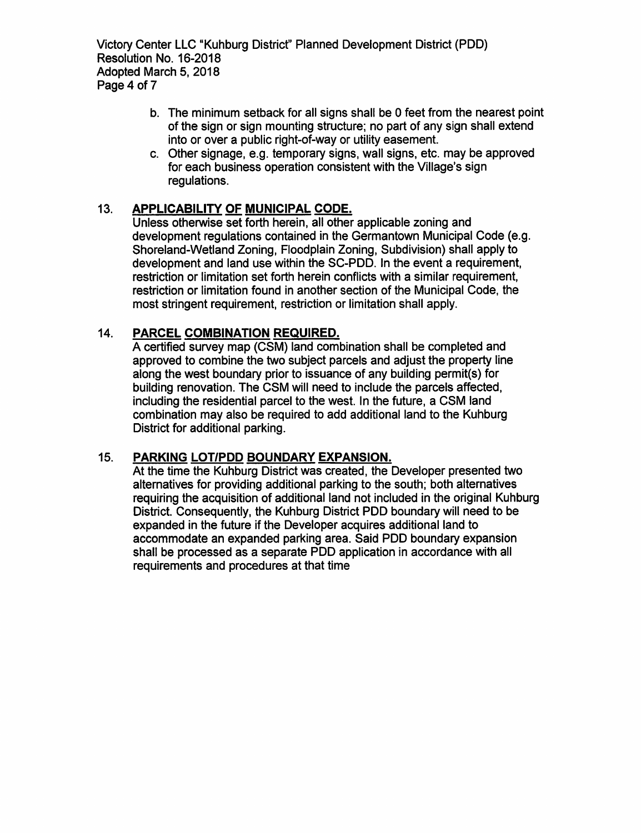Victory Center LLC "Kuhburg Districf' Planned Development District (POD) Resolution No. 16-2018 Adopted March 5, 2018 Page 4 of 7

- b. The minimum setback for all signs shall be O feet from the nearest point of the sign or sign mounting structure; no part of any sign shall extend into or over a public right-of-way or utility easement.
- c. Other signage, e.g. temporary signs, wall signs, etc. may be approved for each business operation consistent with the Village's sign regulations.

## 13. APPLICABILITY OF MUNICIPAL CODE.

Unless otherwise set forth herein, all other applicable zoning and development regulations contained in the Germantown Municipal Code (e.g. Shoreland-Wetland Zoning, Floodplain Zoning, Subdivision) shall apply to development and land use within the SC-POD. In the event a requirement, restriction or limitation set forth herein conflicts with a similar requirement, restriction or limitation found in another section of the Municipal Code, the most stringent requirement, restriction or limitation shall apply.

# 14. PARCEL COMBINATION REQUIRED.

A certified survey map (CSM) land combination shall be completed and approved to combine the two subject parcels and adjust the property line along the west boundary prior to issuance of any building permit(s) for building renovation. The CSM will need to include the parcels affected, including the residential parcel to the west. In the future, a CSM land combination may also be required to add additional land to the Kuhburg District for additional parking.

## 15. PARKING LOT/POD BOUNDARY EXPANSION.

At the time the Kuhburg District was created, the Developer presented two alternatives for providing additional parking to the south; both alternatives requiring the acquisition of additional land not included in the original Kuhburg District. Consequently, the Kuhburg District POD boundary will need to be expanded in the future if the Developer acquires additional land to accommodate an expanded parking area. Said POD boundary expansion shall be processed as a separate POD application in accordance with all requirements and procedures at that time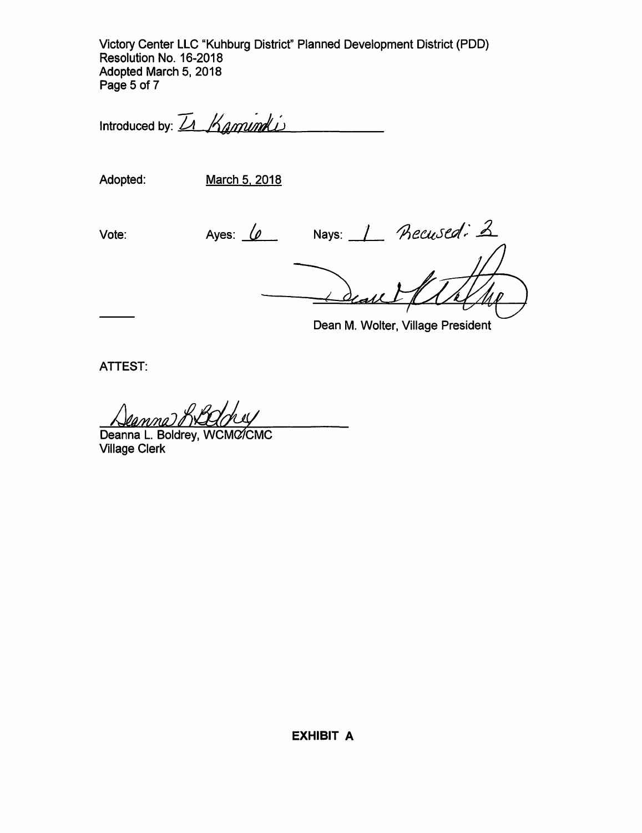Victory Center LLC "Kuhburg District" Planned Development District (POD) Resolution No. 16-2018 Adopted March 5, 2018 Page 5 of 7

Introduced by: *LA Kamund Li* 

Adopted: March 5. 2018

Vote: Ayes:  $\frac{1}{2}$  Nays: 1 *Recused: 2* 

Dean M. Wolter, Village President

**ATTEST:** 

Deanna L. Boldrey, WCMC/CMC Village Clerk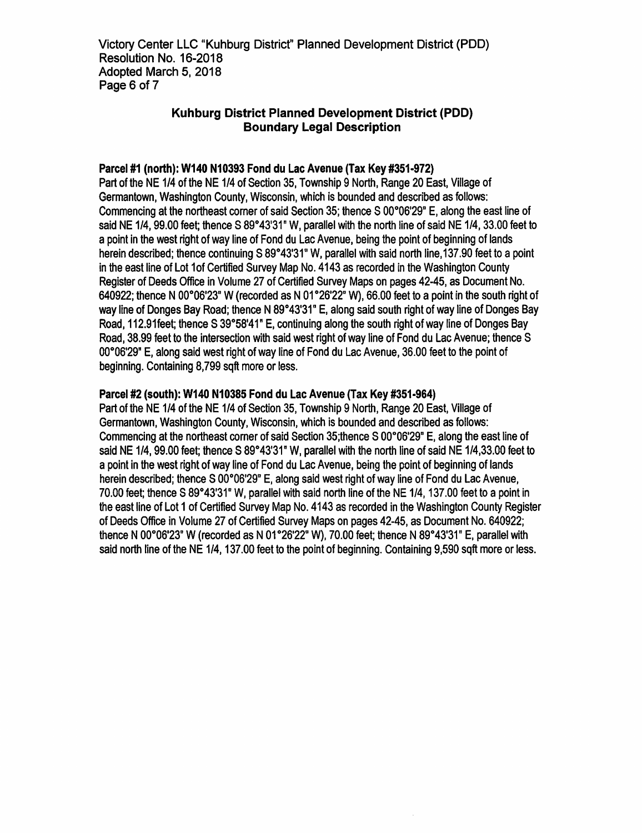Victory Center LLC "Kuhburg District" Planned Development District (PDD) Resolution No. 16-2018 Adopted March 5, 2018 Page 6 of 7

#### Kuhburg District Planned Development District (POD) Boundary Legal Description

#### Parcel #1 (north): W140 N10393 Fond du Lac Avenue (Tax Key #351-972)

Part of the NE 1/4 of the NE 1/4 of Section 35, Township 9 North, Range 20 East, Village of Germantown, Washington County, Wisconsin, which is bounded and described as follows: Commencing at the northeast corner of said Section 35; thence  $S$  00 $^{\circ}$ 06'29" E, along the east line of said NE 1/4, 99.00 feet; thence S 89°43'31" W, parallel with the north line of said NE 1/4, 33.00 feet to a point in the west right of way line of Fond du Lac Avenue, being the point of beginning of lands herein described; thence continuing S 89°43'31" W, parallel with said north line, 137.90 feet to a point in the east line of Lot 1of Certified Survey Map No. 4143 as recorded in the Washington County Register of Deeds Office in Volume 27 of Certified Survey Maps on pages 42-45, as Document No. 640922; thence N 00 $^{\circ}$ 06'23" W (recorded as N 01 $^{\circ}$ 26'22" W), 66.00 feet to a point in the south right of way line of Donges Bay Road; thence N 89°43'31" E, along said south right of way line of Donges Bay Road, 112.91feet; thence S 39°58'41" E, continuing along the south right of way line of Donges Bay Road, 38.99 feet to the intersection with said west right of way line of Fond du Lac Avenue; thence S 00°06'29" E, along said west right of way line of Fond du Lac Avenue, 36.00 feet to the point of beginning. Containing 8,799 sqft more or less.

#### Parcel #2 (south): W140 N10385 Fond du Lac Avenue (Tax Key #351-964)

Part of the NE 1/4 of the NE 1/4 of Section 35, Township 9 North, Range 20 East, Village of Germantown, Washington County, Wisconsin, which is bounded and described as follows: Commencing at the northeast comer of said Section 35;thence S 00°06'29" E, along the east line of said NE 1/4, 99.00 feet; thence S 89°43'31" W, parallel with the north line of said NE 1/4,33.00 feet to a point in the west right of way line of Fond du Lac Avenue, being the point of beginning of lands herein described; thence S 00°06'29" E, along said west right of way line of Fond du Lac Avenue, 70.00 feet; thence S 89°43'31" W, parallel with said north line of the NE 1/4, 137.00 feet to a point in the east line of Lot 1 of Certified Survey Map No. 4143 as recorded in the Washington County Register of Deeds Office in Volume 27 of Certified Survey Maps on pages 42-45, as Document No. 640922; thence N 00 $^{\circ}$ 06'23" W (recorded as N 01 $^{\circ}$ 26'22" W), 70.00 feet; thence N 89 $^{\circ}$ 43'31" E, parallel with said north line of the NE 1/4, 137.00 feet to the point of beginning. Containing 9,590 sqft more or less.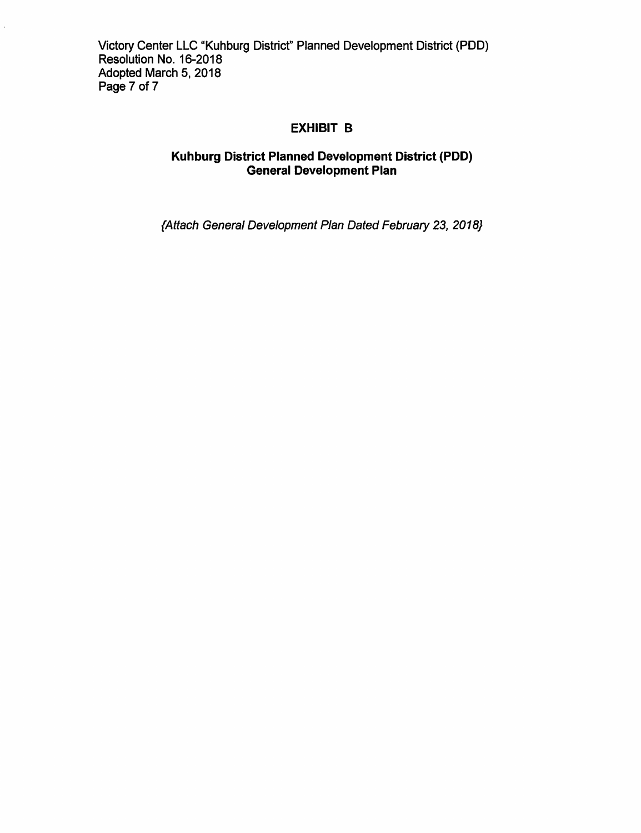# EXHIBIT B

# Kuhburg District Planned Development District (POD) General Development Plan

{Attach General Development Plan Dated February 23, 2018)